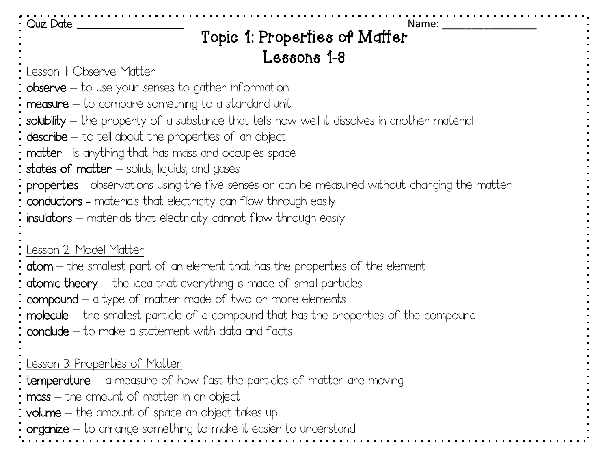#### Quiz Date: \_\_\_\_\_\_\_\_\_\_\_\_\_\_\_\_\_\_ Name: \_\_\_\_\_\_\_\_\_\_\_\_\_\_\_\_ Topic 1: Properties of Matter Lessons 1-3

Lesson 1: Observe Matter

- $\theta$ observe to use your senses to gather information
- $measure to compare something to a standard unit$
- solubility the property of a substance that tells how well it dissolves in another material
- $describe to tell about the properties of an object$
- matter is anything that has mass and occupies space
- states of matter  $-$  solids, liquids, and gases

properties - observations using the five senses or can be measured without changing the matter.

- conductors materials that electricity can flow through easily
- insulators materials that electricity cannot flow through easily

#### Lesson 2: Model Matter

atom – the smallest part of an element that has the properties of the element

atomic theory – the idea that everything is made of small particles

- compound a type of matter made of two or more elements
- molecule the smallest particle of a compound that has the properties of the compound
- conclude to make a statement with data and facts

#### Lesson 3: Properties of Matter

temperature – a measure of how fast the particles of matter are moving

mass – the amount of matter in an object

volume – the amount of space an object takes up

organize – to arrange something to make it easier to understand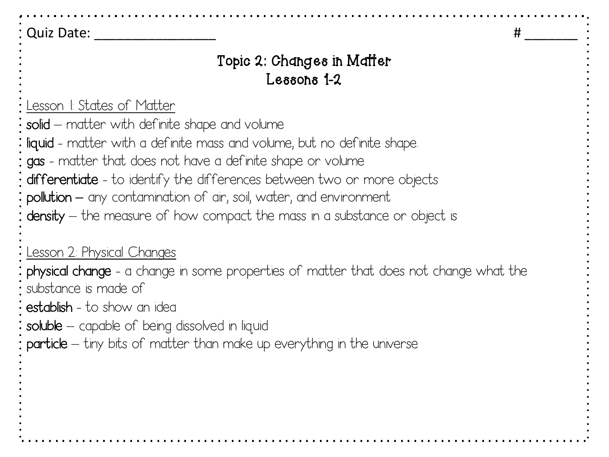Quiz Date:  $\qquad \qquad \qquad \qquad$ 

### Topic 2: Changes in Matter Lessons 1-2

Lesson 1: States of Matter

solid – matter with definite shape and volume

liquid - matter with a definite mass and volume, but no definite shape.

gas - matter that does not have a definite shape or volume

differentiate - to identify the differences between two or more objects

pollution **–** any contamination of air, soil, water, and environment

density – the measure of how compact the mass in a substance or object is

Lesson 2: Physical Changes

physical change - a change in some properties of matter that does not change what the substance is made of

establish - to show an idea

soluble – capable of being dissolved in liquid

particle – tiny bits of matter than make up everything in the universe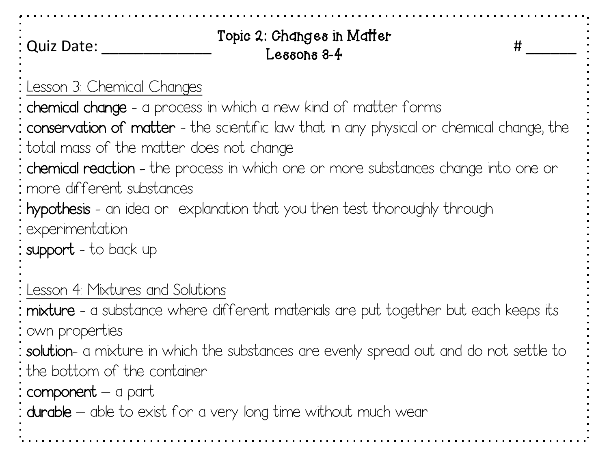| <b>Quiz Date:</b>                                                                                                                                                                                                                                                                                                                                                                                                                                                                                                | Topic 2: Changes in Matter<br>$L$ essons $3-4$ | # |
|------------------------------------------------------------------------------------------------------------------------------------------------------------------------------------------------------------------------------------------------------------------------------------------------------------------------------------------------------------------------------------------------------------------------------------------------------------------------------------------------------------------|------------------------------------------------|---|
| Lesson 3 Chemical Changes<br><b>chemical change</b> - a process in which a new kind of matter forms<br>: <b>conservation of matter</b> - the scientific law that in any physical or chemical change, the<br>total mass of the matter does not change<br><b>: chemical reaction -</b> the process in which one or more substances change into one or<br>: more different substances<br>: hypothesis - an idea or explanation that you then test thoroughly through<br>: experimentation<br>: support - to back up |                                                |   |
| Lesson 4 Mixtures and Solutions<br>mixture - a substance where different materials are put together but each keeps its<br>: own properties<br><b>: solution</b> - a mixture in which the substances are evenly spread out and do not settle to<br>: the bottom of the container<br>: component $-$ a part<br>: durable — able to exist for a very long time without much wear                                                                                                                                    |                                                |   |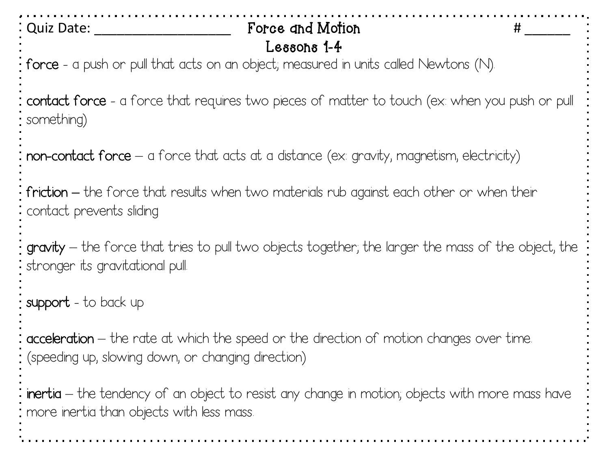Quiz Date: \_\_\_\_\_\_\_\_\_\_\_\_\_\_\_\_\_\_\_\_\_\_\_\_\_\_\_\_ Force and Motion # \_\_\_\_\_\_\_\_\_\_ force - a push or pull that acts on an object; measured in units called Newtons (N). contact force - a force that requires two pieces of matter to touch (ex: when you push or pull something) non-contact force – a force that acts at a distance (ex: gravity, magnetism, electricity) friction **–** the force that results when two materials rub against each other or when their contact prevents sliding gravity – the force that tries to pull two objects together; the larger the mass of the object, the stronger its gravitational pull. support - to back up acceleration – the rate at which the speed or the direction of motion changes over time. (speeding up, slowing down, or changing direction) inertia – the tendency of an object to resist any change in motion; objects with more mass have more inertia than objects with less mass. Lessons 1-4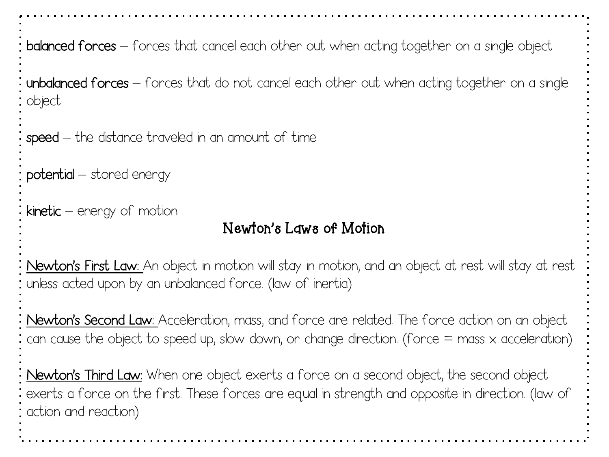balanced forces – forces that cancel each other out when acting together on a single object

unbalanced forces – forces that do not cancel each other out when acting together on a single object

speed – the distance traveled in an amount of time

potential – stored energy

 $kinetic - energy of motion$ 

### Newton's Laws of Motion

Newton's First Law: An object in motion will stay in motion, and an object at rest will stay at rest unless acted upon by an unbalanced force. (law of inertia)

Newton's Second Law: Acceleration, mass, and force are related. The force action on an object can cause the object to speed up, slow down, or change direction. (force  $=$  mass  $\times$  acceleration)

Newton's Third Law: When one object exerts a force on a second object, the second object exerts a force on the first. These forces are equal in strength and opposite in direction. (law of action and reaction)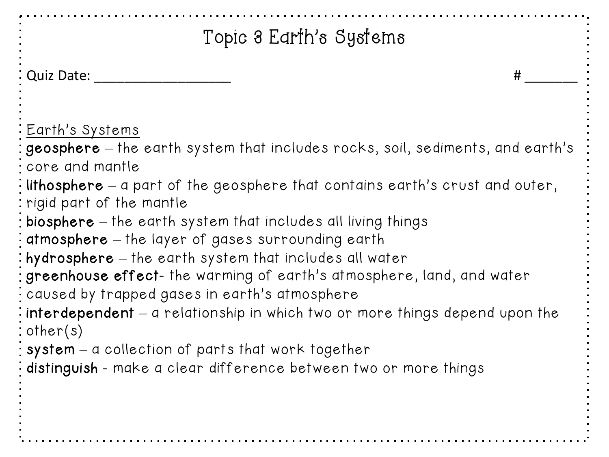| Topic 3 Earth's Systems                                                                                                                                                                                                                                                                                                                                                                                                                                                                                                                                                                                                                                                                                                                                                                                                                                                      |  |  |
|------------------------------------------------------------------------------------------------------------------------------------------------------------------------------------------------------------------------------------------------------------------------------------------------------------------------------------------------------------------------------------------------------------------------------------------------------------------------------------------------------------------------------------------------------------------------------------------------------------------------------------------------------------------------------------------------------------------------------------------------------------------------------------------------------------------------------------------------------------------------------|--|--|
| : Quiz Date:<br>#                                                                                                                                                                                                                                                                                                                                                                                                                                                                                                                                                                                                                                                                                                                                                                                                                                                            |  |  |
| <u>: Earth's Systems</u><br>: geosphere $-$ the earth system that includes rocks, soil, sediments, and earth's<br>: core and mantle<br>$\frac{1}{2}$ lithosphere $-$ a part of the geosphere that contains earth's crust and outer,<br>: rigid part of the mantle<br>$:$ biosphere $-$ the earth system that includes all living things<br>$\frac{1}{2}$ atmosphere $-$ the layer of gases surrounding earth<br>: hydrosphere – the earth system that includes all water<br>: greenhouse effect- the warming of earth's atmosphere, land, and water<br>$\frac{1}{2}$ caused by trapped gases in earth's atmosphere<br>$\frac{1}{2}$ interdependent $-$ a relationship in which two or more things depend upon the<br>$:$ other(s)<br>$\frac{1}{2}$ system $-$ a collection of parts that work together<br>: distinguish - make a clear difference between two or more things |  |  |
|                                                                                                                                                                                                                                                                                                                                                                                                                                                                                                                                                                                                                                                                                                                                                                                                                                                                              |  |  |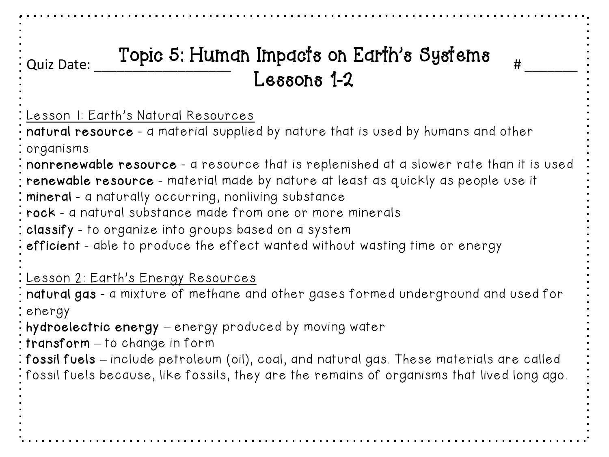# Quiz Date: \_\_\_\_\_\_\_\_\_\_\_\_\_\_\_\_\_\_ # \_\_\_\_\_\_\_ Topic 5: Human Impacts on Earth's Systems Lessons 1-2

Lesson 1: Earth's Natural Resources

natural resource - a material supplied by nature that is used by humans and other organisms

nonrenewable resource - a resource that is replenished at a slower rate than it is used

renewable resource - material made by nature at least as quickly as people use it

**: mineral** - a naturally occurring, nonliving substance

 $\overline{\cdot}$  rock - a natural substance made from one or more minerals

classify - to organize into groups based on a system

efficient - able to produce the effect wanted without wasting time or energy

Lesson 2: Earth's Energy Resources

natural gas - a mixture of methane and other gases formed underground and used for : energy

hydroelectric energy – energy produced by moving water

 $:$  transform  $-$  to change in form

fossil fuels – include petroleum (oil), coal, and natural gas. These materials are called fossil fuels because, like fossils, they are the remains of organisms that lived long ago.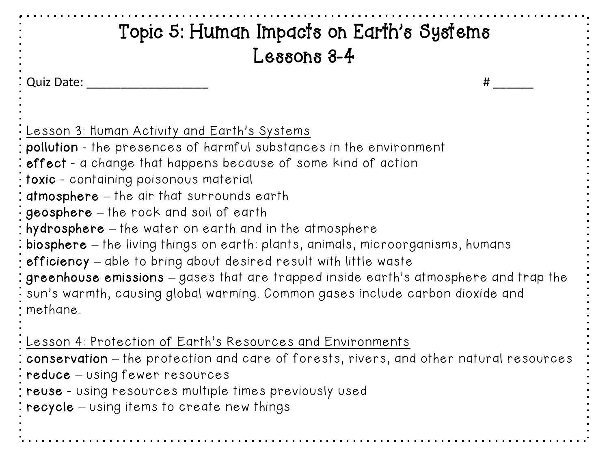## Quiz Date: \_\_\_\_\_\_\_\_\_\_\_\_\_\_\_\_\_\_ # \_\_\_\_\_\_  $\overline{\cdot}$  Lesson 3: Human Activity and Earth's Systems. pollution - the presences of harmful substances in the environment effect - a change that happens because of some kind of action  $\frac{1}{2}$  toxic - containing poisonous material atmosphere – the air that surrounds earth  $\frac{1}{2}$  geosphere  $-$  the rock and soil of earth hydrosphere – the water on earth and in the atmosphere biosphere – the living things on earth: plants, animals, microorganisms, humans efficiency – able to bring about desired result with little waste greenhouse emissions – gases that are trapped inside earth's atmosphere and trap the sun's warmth, causing global warming. Common gases include carbon dioxide and methane. Lesson 4: Protection of Earth's Resources and Environments conservation – the protection and care of forests, rivers, and other natural resources Topic 5: Human Impacts on Earth's Systems Lessons 3-4

- $\frac{1}{2}$  reduce using fewer resources
- reuse using resources multiple times previously used
- **: recycle** using items to create new things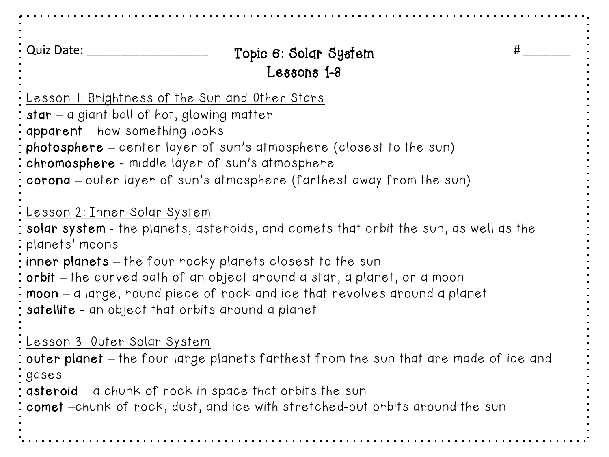Quiz Date: \_\_\_\_\_\_\_\_\_\_\_\_\_\_\_\_\_\_ # \_\_\_\_\_\_\_ Topic 6: Solar System Lesson 1: Brightness of the Sun and Other Stars star  $-$  a giant ball of hot, glowing matter apparent – how something looks photosphere – center layer of sun's atmosphere (closest to the sun) chromosphere - middle layer of sun's atmosphere corona – outer layer of sun's atmosphere (farthest away from the sun) Lesson 2: Inner Solar System solar system - the planets, asteroids, and comets that orbit the sun, as well as the planets' moons inner planets – the four rocky planets closest to the sun orbit – the curved path of an object around a star, a planet, or a moon moon – a large, round piece of rock and ice that revolves around a planet satellite - an object that orbits around a planet Lesson 3: Outer Solar System : outer planet – the four large planets farthest from the sun that are made of ice and gases asteroid – a chunk of rock in space that orbits the sun comet –chunk of rock, dust, and ice with stretched-out orbits around the sun Lessons 1-3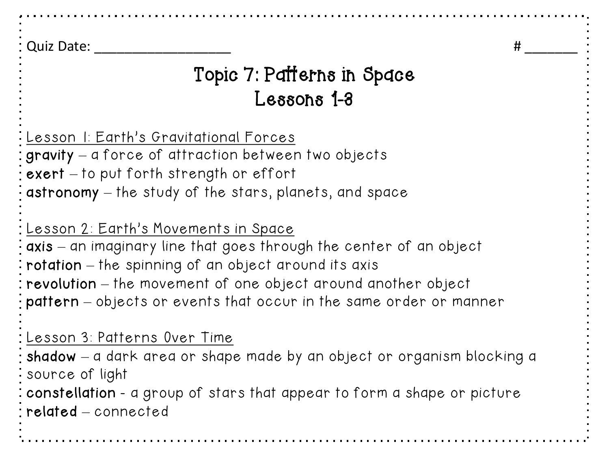Quiz Date:  $\qquad$  #

## Topic 7: Patterns in Space Lessons 1-3

Lesson 1: Earth's Gravitational Forces gravity – a force of attraction between two objects  $\mathsf{c}$  exert  $-$  to put forth strength or effort astronomy – the study of the stars, planets, and space

### Lesson 2: Earth's Movements in Space

axis – an imaginary line that goes through the center of an object rotation – the spinning of an object around its axis revolution – the movement of one object around another object pattern – objects or events that occur in the same order or manner

### Lesson 3: Patterns Over Time

shadow – a dark area or shape made by an object or organism blocking a source of light

constellation - a group of stars that appear to form a shape or picture related – connected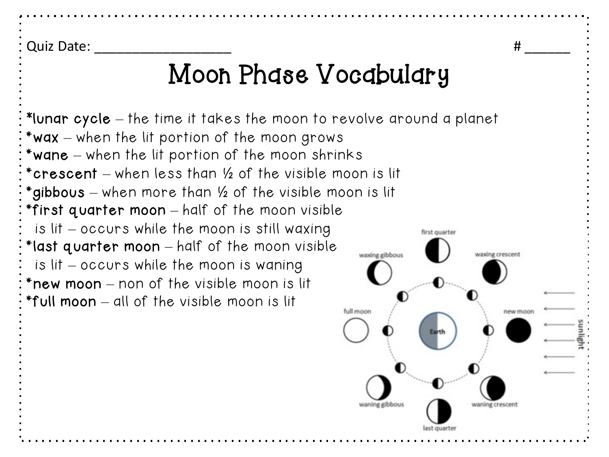Quiz Date: \_\_\_\_\_\_\_\_\_\_\_\_\_\_\_\_\_\_ # \_\_\_\_\_\_

# Moon Phase Vocabulary

new moor

\*lunar cycle – the time it takes the moon to revolve around a planet \*wax – when the lit portion of the moon grows \*wane – when the lit portion of the moon shrinks \*crescent – when less than ½ of the visible moon is lit \*gibbous – when more than ½ of the visible moon is lit \*first quarter moon – half of the moon visible is lit – occurs while the moon is still waxing first quarter \*last quarter moon – half of the moon visible waxing gibbous waxing crescent is lit – occurs while the moon is waning \*new moon – non of the visible moon is lit \*full moon – all of the visible moon is lit full moon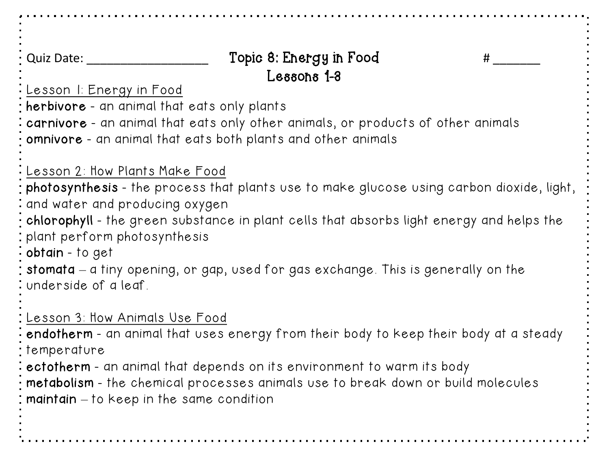Quiz Date: \_\_\_\_\_\_\_\_\_\_\_\_\_\_\_\_\_\_\_\_\_\_\_\_\_\_\_\_ Topic 8: Energy in Food  $\qquad \qquad \qquad \qquad \qquad \qquad \qquad$ Lesson 1: Energy in Food herbivore - an animal that eats only plants carnivore - an animal that eats only other animals, or products of other animals omnivore - an animal that eats both plants and other animals Lesson 2: How Plants Make Food photosynthesis - the process that plants use to make glucose using carbon dioxide, light, and water and producing oxygen chlorophyll - the green substance in plant cells that absorbs light energy and helps the plant perform photosynthesis obtain - to get stomata – a tiny opening, or gap, used for gas exchange. This is generally on the underside of a leaf. Lesson 3: How Animals Use Food endotherm - an animal that uses energy from their body to keep their body at a steady temperature ectotherm - an animal that depends on its environment to warm its body metabolism - the chemical processes animals use to break down or build molecules maintain – to keep in the same condition Lessons 1-3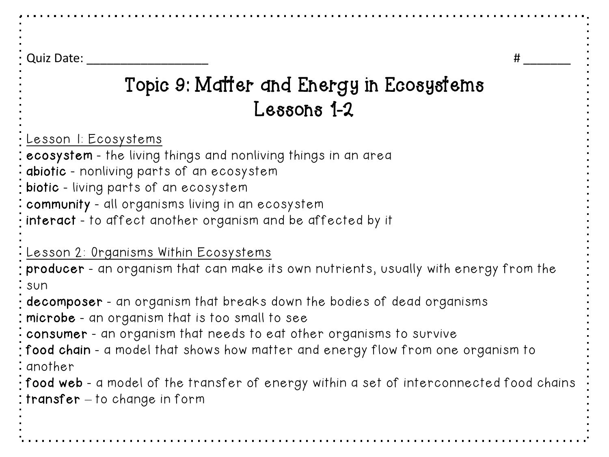Quiz Date:  $\#$ 

# Topic 9: Matter and Energy in Ecosystems Lessons 1-2

Lesson 1: Ecosystems

ecosystem - the living things and nonliving things in an area

abiotic - nonliving parts of an ecosystem

biotic - living parts of an ecosystem

community - all organisms living in an ecosystem

interact - to affect another organism and be affected by it

Lesson 2: Organisms Within Ecosystems

producer - an organism that can make its own nutrients, usually with energy from the : sun

 $\cdot$  decomposer - an organism that breaks down the bodies of dead organisms

microbe - an organism that is too small to see

 $\frac{1}{2}$  consumer - an organism that needs to eat other organisms to survive

food chain - a model that shows how matter and energy flow from one organism to another

food web - a model of the transfer of energy within a set of interconnected food chains : transfer  $-$  to change in form